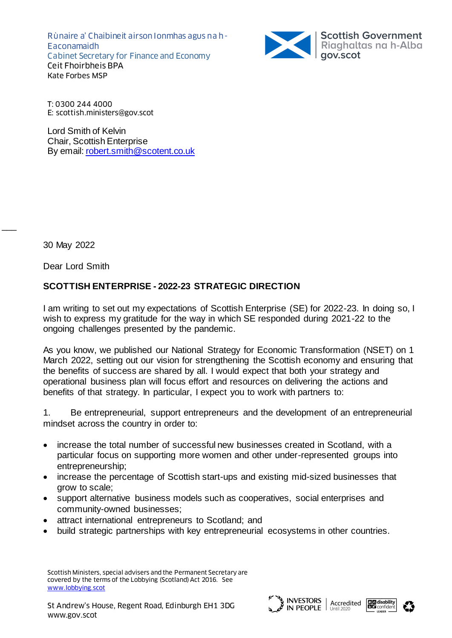Rùnaire a' Chaibineit airson Ionmhas agus na h-Eaconamaidh Cabinet Secretary for Finance and Economy Ceit Fhoirbheis BPA Kate Forbes MSP



T: 0300 244 4000 E: scottish.ministers@gov.scot

Lord Smith of Kelvin Chair, Scottish Enterprise By email: [robert.smith@scotent.co.uk](mailto:robert.smith@scotent.co.uk)

30 May 2022

 $\overline{\phantom{a}}$ 

Dear Lord Smith

# **SCOTTISH ENTERPRISE - 2022-23 STRATEGIC DIRECTION**

I am writing to set out my expectations of Scottish Enterprise (SE) for 2022-23. In doing so, I wish to express my gratitude for the way in which SE responded during 2021-22 to the ongoing challenges presented by the pandemic.

As you know, we published our National Strategy for Economic Transformation (NSET) on 1 March 2022, setting out our vision for strengthening the Scottish economy and ensuring that the benefits of success are shared by all. I would expect that both your strategy and operational business plan will focus effort and resources on delivering the actions and benefits of that strategy. In particular, I expect you to work with partners to:

1. Be entrepreneurial, support entrepreneurs and the development of an entrepreneurial mindset across the country in order to:

- increase the total number of successful new businesses created in Scotland, with a particular focus on supporting more women and other under-represented groups into entrepreneurship;
- increase the percentage of Scottish start-ups and existing mid-sized businesses that grow to scale;
- support alternative business models such as cooperatives, social enterprises and community-owned businesses;
- attract international entrepreneurs to Scotland; and
- build strategic partnerships with key entrepreneurial ecosystems in other countries.





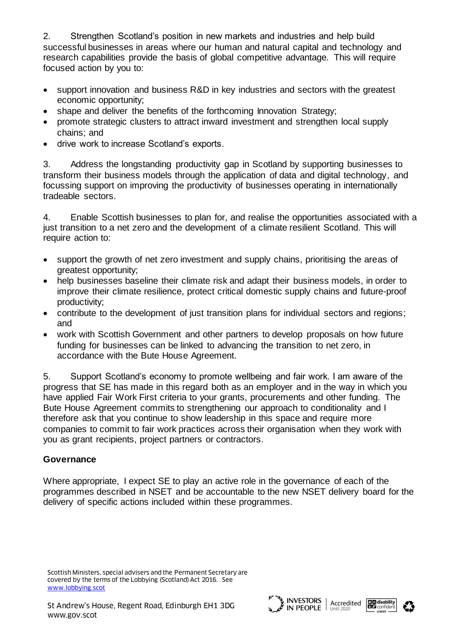2. Strengthen Scotland's position in new markets and industries and help build successful businesses in areas where our human and natural capital and technology and research capabilities provide the basis of global competitive advantage. This will require focused action by you to:

- support innovation and business R&D in key industries and sectors with the greatest economic opportunity;
- shape and deliver the benefits of the forthcoming Innovation Strategy;
- promote strategic clusters to attract inward investment and strengthen local supply chains; and
- drive work to increase Scotland's exports.

3. Address the longstanding productivity gap in Scotland by supporting businesses to transform their business models through the application of data and digital technology, and focussing support on improving the productivity of businesses operating in internationally tradeable sectors.

4. Enable Scottish businesses to plan for, and realise the opportunities associated with a just transition to a net zero and the development of a climate resilient Scotland. This will require action to:

- support the growth of net zero investment and supply chains, prioritising the areas of greatest opportunity;
- help businesses baseline their climate risk and adapt their business models, in order to improve their climate resilience, protect critical domestic supply chains and future-proof productivity;
- contribute to the development of just transition plans for individual sectors and regions; and
- work with Scottish Government and other partners to develop proposals on how future funding for businesses can be linked to advancing the transition to net zero, in accordance with the Bute House Agreement.

5. Support Scotland's economy to promote wellbeing and fair work. I am aware of the progress that SE has made in this regard both as an employer and in the way in which you have applied Fair Work First criteria to your grants, procurements and other funding. The Bute House Agreement commits to strengthening our approach to conditionality and I therefore ask that you continue to show leadership in this space and require more companies to commit to fair work practices across their organisation when they work with you as grant recipients, project partners or contractors.

### **Governance**

Where appropriate, I expect SE to play an active role in the governance of each of the programmes described in NSET and be accountable to the new NSET delivery board for the delivery of specific actions included within these programmes.





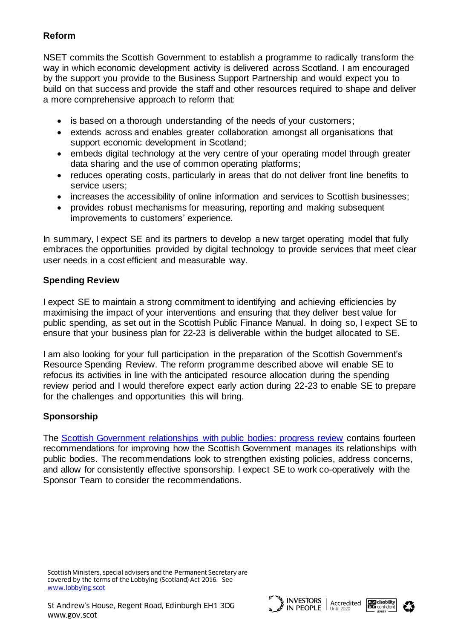# **Reform**

NSET commits the Scottish Government to establish a programme to radically transform the way in which economic development activity is delivered across Scotland. I am encouraged by the support you provide to the Business Support Partnership and would expect you to build on that success and provide the staff and other resources required to shape and deliver a more comprehensive approach to reform that:

- is based on a thorough understanding of the needs of your customers;
- extends across and enables greater collaboration amongst all organisations that support economic development in Scotland;
- embeds digital technology at the very centre of your operating model through greater data sharing and the use of common operating platforms;
- reduces operating costs, particularly in areas that do not deliver front line benefits to service users;
- increases the accessibility of online information and services to Scottish businesses;
- provides robust mechanisms for measuring, reporting and making subsequent improvements to customers' experience.

In summary, I expect SE and its partners to develop a new target operating model that fully embraces the opportunities provided by digital technology to provide services that meet clear user needs in a cost efficient and measurable way.

### **Spending Review**

I expect SE to maintain a strong commitment to identifying and achieving efficiencies by maximising the impact of your interventions and ensuring that they deliver best value for public spending, as set out in the Scottish Public Finance Manual. In doing so, I expect SE to ensure that your business plan for 22-23 is deliverable within the budget allocated to SE.

I am also looking for your full participation in the preparation of the Scottish Government's Resource Spending Review. The reform programme described above will enable SE to refocus its activities in line with the anticipated resource allocation during the spending review period and I would therefore expect early action during 22-23 to enable SE to prepare for the challenges and opportunities this will bring.

### **Sponsorship**

The [Scottish Government relationships with public bodies: progress review](https://www.gov.scot/publications/progress-review-scottish-government-relationships-public-bodies/pages/1/) contains fourteen recommendations for improving how the Scottish Government manages its relationships with public bodies. The recommendations look to strengthen existing policies, address concerns, and allow for consistently effective sponsorship. I expect SE to work co-operatively with the Sponsor Team to consider the recommendations.